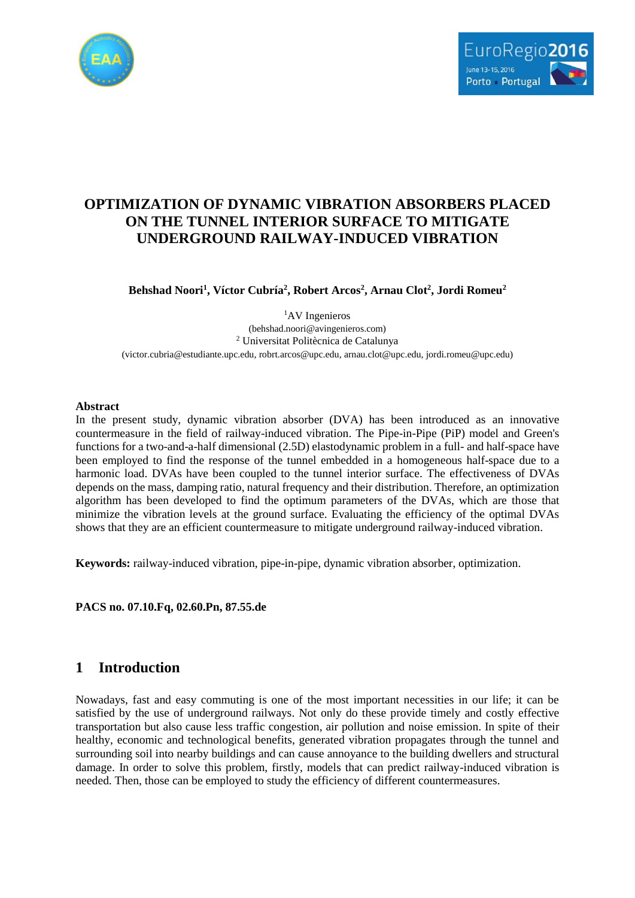



# **OPTIMIZATION OF DYNAMIC VIBRATION ABSORBERS PLACED ON THE TUNNEL INTERIOR SURFACE TO MITIGATE UNDERGROUND RAILWAY-INDUCED VIBRATION**

**Behshad Noori<sup>1</sup> , Víctor Cubría<sup>2</sup> , Robert Arcos<sup>2</sup> , Arnau Clot<sup>2</sup> , Jordi Romeu<sup>2</sup>**

<sup>1</sup>AV Ingenieros (behshad.noori@avingenieros.com) <sup>2</sup> Universitat Politècnica de Catalunya (victor.cubria@estudiante.upc.edu[, robrt.arcos@upc.edu,](mailto:robrt.arcos@upc.edu) [arnau.clot@upc.edu,](mailto:arnau.clot@upc.edu) [jordi.romeu@upc.edu\)](mailto:jordi.romeu@upc.edu)

#### **Abstract**

In the present study, dynamic vibration absorber (DVA) has been introduced as an innovative countermeasure in the field of railway-induced vibration. The Pipe-in-Pipe (PiP) model and Green's functions for a two-and-a-half dimensional (2.5D) elastodynamic problem in a full- and half-space have been employed to find the response of the tunnel embedded in a homogeneous half-space due to a harmonic load. DVAs have been coupled to the tunnel interior surface. The effectiveness of DVAs depends on the mass, damping ratio, natural frequency and their distribution. Therefore, an optimization algorithm has been developed to find the optimum parameters of the DVAs, which are those that minimize the vibration levels at the ground surface. Evaluating the efficiency of the optimal DVAs shows that they are an efficient countermeasure to mitigate underground railway-induced vibration.

**Keywords:** railway-induced vibration, pipe-in-pipe, dynamic vibration absorber, optimization.

**PACS no. 07.10.Fq, 02.60.Pn, 87.55.de**

## **1 Introduction**

Nowadays, fast and easy commuting is one of the most important necessities in our life; it can be satisfied by the use of underground railways. Not only do these provide timely and costly effective transportation but also cause less traffic congestion, air pollution and noise emission. In spite of their healthy, economic and technological benefits, generated vibration propagates through the tunnel and surrounding soil into nearby buildings and can cause annoyance to the building dwellers and structural damage. In order to solve this problem, firstly, models that can predict railway-induced vibration is needed. Then, those can be employed to study the efficiency of different countermeasures.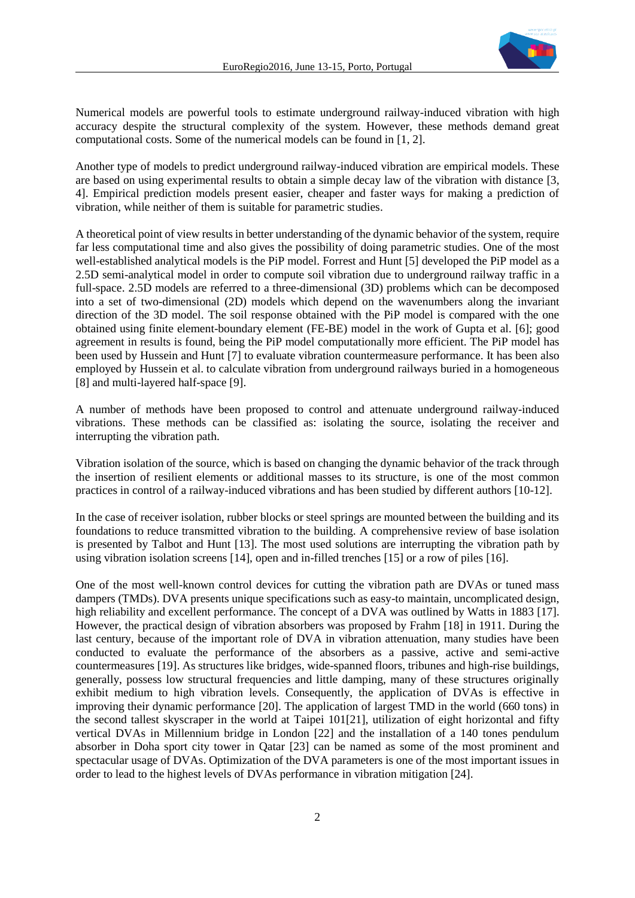

Numerical models are powerful tools to estimate underground railway-induced vibration with high accuracy despite the structural complexity of the system. However, these methods demand great computational costs. Some of the numerical models can be found in [1, 2].

Another type of models to predict underground railway-induced vibration are empirical models. These are based on using experimental results to obtain a simple decay law of the vibration with distance [3, 4]. Empirical prediction models present easier, cheaper and faster ways for making a prediction of vibration, while neither of them is suitable for parametric studies.

A theoretical point of view results in better understanding of the dynamic behavior of the system, require far less computational time and also gives the possibility of doing parametric studies. One of the most well-established analytical models is the PiP model. Forrest and Hunt [5] developed the PiP model as a 2.5D semi-analytical model in order to compute soil vibration due to underground railway traffic in a full-space. 2.5D models are referred to a three-dimensional (3D) problems which can be decomposed into a set of two-dimensional (2D) models which depend on the wavenumbers along the invariant direction of the 3D model. The soil response obtained with the PiP model is compared with the one obtained using finite element-boundary element (FE-BE) model in the work of Gupta et al. [6]; good agreement in results is found, being the PiP model computationally more efficient. The PiP model has been used by Hussein and Hunt [7] to evaluate vibration countermeasure performance. It has been also employed by Hussein et al. to calculate vibration from underground railways buried in a homogeneous [8] and multi-layered half-space [9].

A number of methods have been proposed to control and attenuate underground railway-induced vibrations. These methods can be classified as: isolating the source, isolating the receiver and interrupting the vibration path.

Vibration isolation of the source, which is based on changing the dynamic behavior of the track through the insertion of resilient elements or additional masses to its structure, is one of the most common practices in control of a railway-induced vibrations and has been studied by different authors [10-12].

In the case of receiver isolation, rubber blocks or steel springs are mounted between the building and its foundations to reduce transmitted vibration to the building. A comprehensive review of base isolation is presented by Talbot and Hunt [13]. The most used solutions are interrupting the vibration path by using vibration isolation screens [14], open and in-filled trenches [15] or a row of piles [16].

One of the most well-known control devices for cutting the vibration path are DVAs or tuned mass dampers (TMDs). DVA presents unique specifications such as easy-to maintain, uncomplicated design, high reliability and excellent performance. The concept of a DVA was outlined by Watts in 1883 [17]. However, the practical design of vibration absorbers was proposed by Frahm [18] in 1911. During the last century, because of the important role of DVA in vibration attenuation, many studies have been conducted to evaluate the performance of the absorbers as a passive, active and semi-active countermeasures [19]. As structures like bridges, wide-spanned floors, tribunes and high-rise buildings, generally, possess low structural frequencies and little damping, many of these structures originally exhibit medium to high vibration levels. Consequently, the application of DVAs is effective in improving their dynamic performance [20]. The application of largest TMD in the world (660 tons) in the second tallest skyscraper in the world at Taipei 101[21], utilization of eight horizontal and fifty vertical DVAs in Millennium bridge in London [22] and the installation of a 140 tones pendulum absorber in Doha sport city tower in Qatar [23] can be named as some of the most prominent and spectacular usage of DVAs. Optimization of the DVA parameters is one of the most important issues in order to lead to the highest levels of DVAs performance in vibration mitigation [24].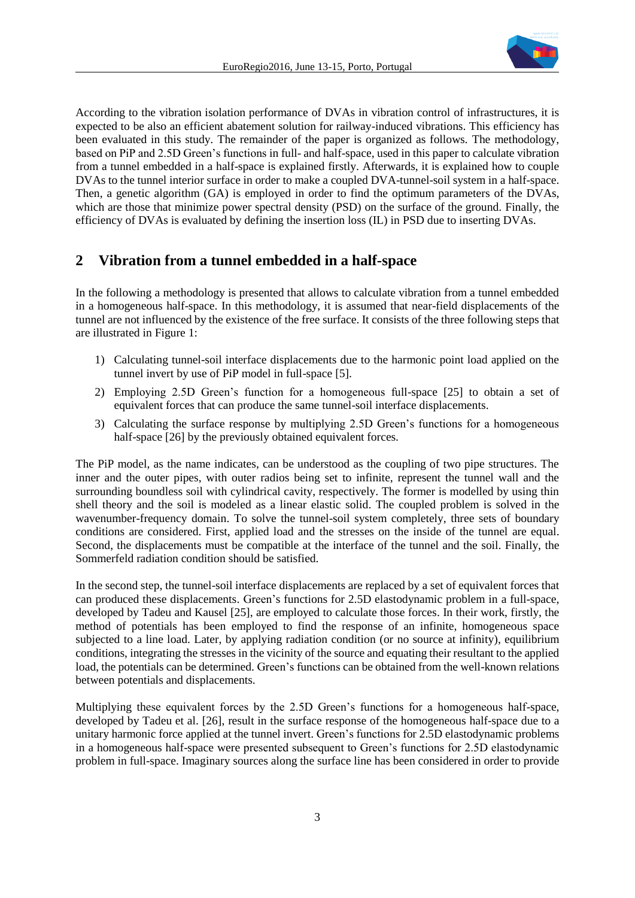

According to the vibration isolation performance of DVAs in vibration control of infrastructures, it is expected to be also an efficient abatement solution for railway-induced vibrations. This efficiency has been evaluated in this study. The remainder of the paper is organized as follows. The methodology, based on PiP and 2.5D Green's functions in full- and half-space, used in this paper to calculate vibration from a tunnel embedded in a half-space is explained firstly. Afterwards, it is explained how to couple DVAs to the tunnel interior surface in order to make a coupled DVA-tunnel-soil system in a half-space. Then, a genetic algorithm (GA) is employed in order to find the optimum parameters of the DVAs, which are those that minimize power spectral density (PSD) on the surface of the ground. Finally, the efficiency of DVAs is evaluated by defining the insertion loss (IL) in PSD due to inserting DVAs.

## **2 Vibration from a tunnel embedded in a half-space**

In the following a methodology is presented that allows to calculate vibration from a tunnel embedded in a homogeneous half-space. In this methodology, it is assumed that near-field displacements of the tunnel are not influenced by the existence of the free surface. It consists of the three following steps that are illustrated in Figure 1:

- 1) Calculating tunnel-soil interface displacements due to the harmonic point load applied on the tunnel invert by use of PiP model in full-space [5].
- 2) Employing 2.5D Green's function for a homogeneous full-space [25] to obtain a set of equivalent forces that can produce the same tunnel-soil interface displacements.
- 3) Calculating the surface response by multiplying 2.5D Green's functions for a homogeneous half-space [26] by the previously obtained equivalent forces.

The PiP model, as the name indicates, can be understood as the coupling of two pipe structures. The inner and the outer pipes, with outer radios being set to infinite, represent the tunnel wall and the surrounding boundless soil with cylindrical cavity, respectively. The former is modelled by using thin shell theory and the soil is modeled as a linear elastic solid. The coupled problem is solved in the wavenumber-frequency domain. To solve the tunnel-soil system completely, three sets of boundary conditions are considered. First, applied load and the stresses on the inside of the tunnel are equal. Second, the displacements must be compatible at the interface of the tunnel and the soil. Finally, the Sommerfeld radiation condition should be satisfied.

In the second step, the tunnel-soil interface displacements are replaced by a set of equivalent forces that can produced these displacements. Green's functions for 2.5D elastodynamic problem in a full-space, developed by Tadeu and Kausel [25], are employed to calculate those forces. In their work, firstly, the method of potentials has been employed to find the response of an infinite, homogeneous space subjected to a line load. Later, by applying radiation condition (or no source at infinity), equilibrium conditions, integrating the stresses in the vicinity of the source and equating their resultant to the applied load, the potentials can be determined. Green's functions can be obtained from the well-known relations between potentials and displacements.

Multiplying these equivalent forces by the 2.5D Green's functions for a homogeneous half-space, developed by Tadeu et al. [26], result in the surface response of the homogeneous half-space due to a unitary harmonic force applied at the tunnel invert. Green's functions for 2.5D elastodynamic problems in a homogeneous half-space were presented subsequent to Green's functions for 2.5D elastodynamic problem in full-space. Imaginary sources along the surface line has been considered in order to provide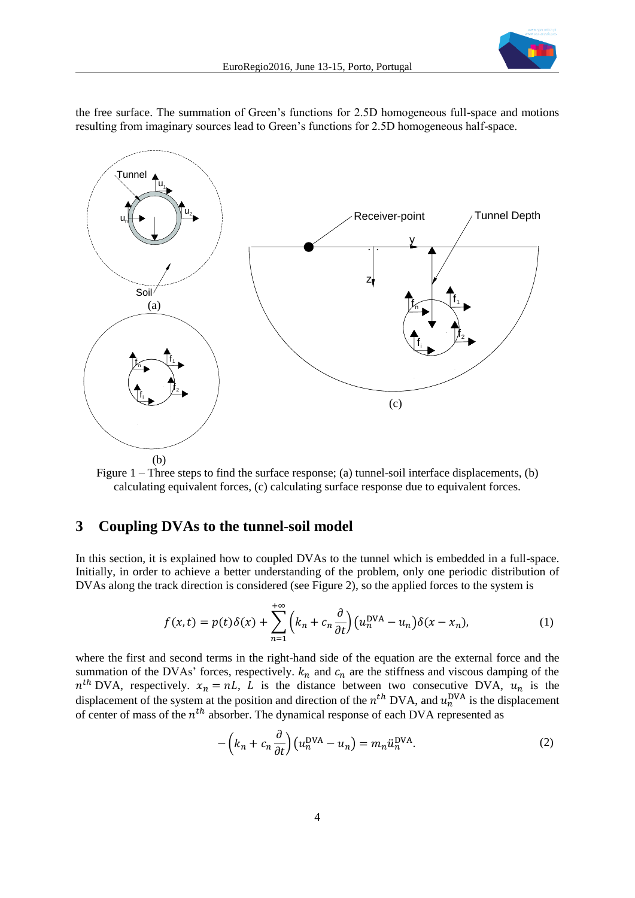

the free surface. The summation of Green's functions for 2.5D homogeneous full-space and motions resulting from imaginary sources lead to Green's functions for 2.5D homogeneous half-space.



Figure 1 – Three steps to find the surface response; (a) tunnel-soil interface displacements, (b) calculating equivalent forces, (c) calculating surface response due to equivalent forces.

#### **3 Coupling DVAs to the tunnel-soil model**

In this section, it is explained how to coupled DVAs to the tunnel which is embedded in a full-space. Initially, in order to achieve a better understanding of the problem, only one periodic distribution of DVAs along the track direction is considered (see Figure 2), so the applied forces to the system is

$$
f(x,t) = p(t)\delta(x) + \sum_{n=1}^{+\infty} \left(k_n + c_n \frac{\partial}{\partial t}\right) \left(u_n^{\text{DVA}} - u_n\right) \delta(x - x_n),\tag{1}
$$

where the first and second terms in the right-hand side of the equation are the external force and the summation of the DVAs' forces, respectively.  $k_n$  and  $c_n$  are the stiffness and viscous damping of the  $n^{th}$  DVA, respectively.  $x_n = nL$ , L is the distance between two consecutive DVA,  $u_n$  is the displacement of the system at the position and direction of the  $n^{th}$  DVA, and  $u_n^{DVA}$  is the displacement of center of mass of the  $n<sup>th</sup>$  absorber. The dynamical response of each DVA represented as

$$
-\left(k_n + c_n \frac{\partial}{\partial t}\right) \left(u_n^{\text{DVA}} - u_n\right) = m_n \ddot{u}_n^{\text{DVA}}.
$$
 (2)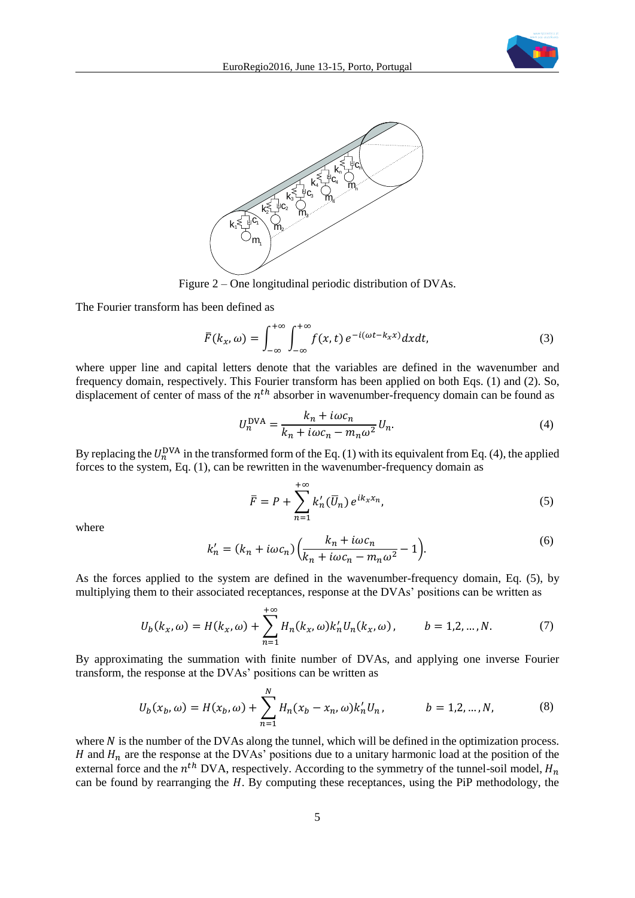



Figure 2 – One longitudinal periodic distribution of DVAs.

The Fourier transform has been defined as

$$
\overline{F}(k_x,\omega) = \int_{-\infty}^{+\infty} \int_{-\infty}^{+\infty} f(x,t) e^{-i(\omega t - k_x x)} dx dt, \tag{3}
$$

where upper line and capital letters denote that the variables are defined in the wavenumber and frequency domain, respectively. This Fourier transform has been applied on both Eqs. (1) and (2). So, displacement of center of mass of the  $n^{th}$  absorber in wavenumber-frequency domain can be found as

$$
U_n^{\text{DVA}} = \frac{k_n + i\omega c_n}{k_n + i\omega c_n - m_n \omega^2} U_n.
$$
\n<sup>(4)</sup>

By replacing the  $U_n^{\text{DNA}}$  in the transformed form of the Eq. (1) with its equivalent from Eq. (4), the applied forces to the system, Eq. (1), can be rewritten in the wavenumber-frequency domain as

$$
\overline{F} = P + \sum_{n=1}^{+\infty} k'_n(\overline{U}_n) e^{ik_x x_n}, \tag{5}
$$

where

$$
k'_n = (k_n + i\omega c_n) \left(\frac{k_n + i\omega c_n}{k_n + i\omega c_n - m_n \omega^2} - 1\right).
$$
\n<sup>(6)</sup>

As the forces applied to the system are defined in the wavenumber-frequency domain, Eq. (5), by multiplying them to their associated receptances, response at the DVAs' positions can be written as

$$
U_b(k_x, \omega) = H(k_x, \omega) + \sum_{n=1}^{+\infty} H_n(k_x, \omega) k'_n U_n(k_x, \omega), \qquad b = 1, 2, ..., N.
$$
 (7)

By approximating the summation with finite number of DVAs, and applying one inverse Fourier transform, the response at the DVAs' positions can be written as

$$
U_b(x_b, \omega) = H(x_b, \omega) + \sum_{n=1}^{N} H_n(x_b - x_n, \omega) k'_n U_n, \qquad b = 1, 2, ..., N,
$$
 (8)

where  $N$  is the number of the DVAs along the tunnel, which will be defined in the optimization process. H and  $H_n$  are the response at the DVAs' positions due to a unitary harmonic load at the position of the external force and the  $n^{th}$  DVA, respectively. According to the symmetry of the tunnel-soil model,  $H_n$ can be found by rearranging the  $H$ . By computing these receptances, using the PiP methodology, the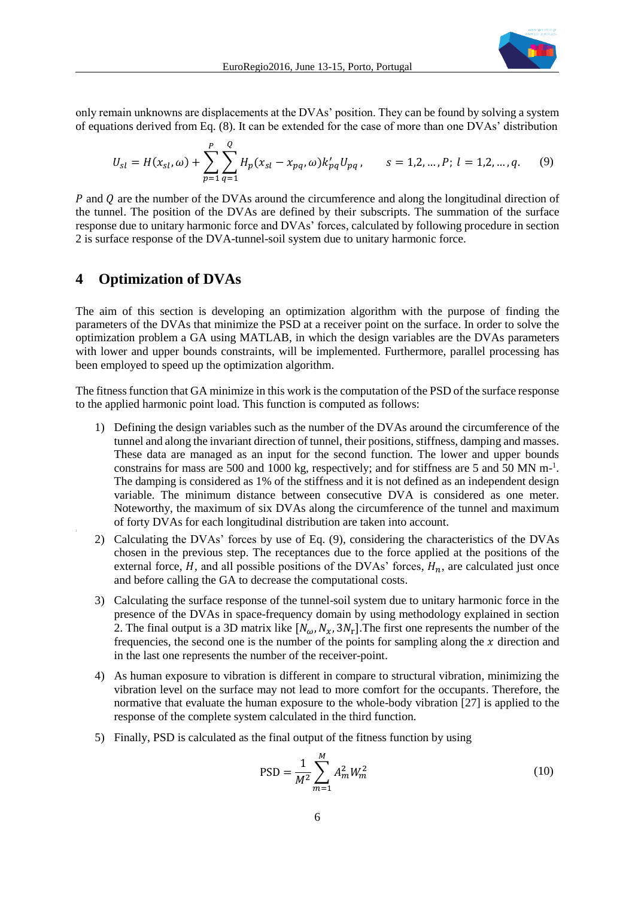

only remain unknowns are displacements at the DVAs' position. They can be found by solving a system of equations derived from Eq. (8). It can be extended for the case of more than one DVAs' distribution

$$
U_{sl} = H(x_{sl}, \omega) + \sum_{p=1}^{P} \sum_{q=1}^{Q} H_p(x_{sl} - x_{pq}, \omega) k'_{pq} U_{pq}, \qquad s = 1, 2, ..., P; l = 1, 2, ..., q.
$$
 (9)

 $P$  and  $Q$  are the number of the DVAs around the circumference and along the longitudinal direction of the tunnel. The position of the DVAs are defined by their subscripts. The summation of the surface response due to unitary harmonic force and DVAs' forces, calculated by following procedure in section 2 is surface response of the DVA-tunnel-soil system due to unitary harmonic force.

### **4 Optimization of DVAs**

The aim of this section is developing an optimization algorithm with the purpose of finding the parameters of the DVAs that minimize the PSD at a receiver point on the surface. In order to solve the optimization problem a GA using MATLAB, in which the design variables are the DVAs parameters with lower and upper bounds constraints, will be implemented. Furthermore, parallel processing has been employed to speed up the optimization algorithm.

The fitness function that GA minimize in this work is the computation of the PSD of the surface response to the applied harmonic point load. This function is computed as follows:

- 1) Defining the design variables such as the number of the DVAs around the circumference of the tunnel and along the invariant direction of tunnel, their positions, stiffness, damping and masses. These data are managed as an input for the second function. The lower and upper bounds constrains for mass are 500 and 1000 kg, respectively; and for stiffness are 5 and 50 MN m<sup>-1</sup>. The damping is considered as 1% of the stiffness and it is not defined as an independent design variable. The minimum distance between consecutive DVA is considered as one meter. Noteworthy, the maximum of six DVAs along the circumference of the tunnel and maximum of forty DVAs for each longitudinal distribution are taken into account.
- 2) Calculating the DVAs' forces by use of Eq. (9), considering the characteristics of the DVAs chosen in the previous step. The receptances due to the force applied at the positions of the external force,  $H$ , and all possible positions of the DVAs' forces,  $H_n$ , are calculated just once and before calling the GA to decrease the computational costs.
- 3) Calculating the surface response of the tunnel-soil system due to unitary harmonic force in the presence of the DVAs in space-frequency domain by using methodology explained in section 2. The final output is a 3D matrix like  $[N_{\omega}, N_{\chi}, 3N_{\text{r}}]$ . The first one represents the number of the frequencies, the second one is the number of the points for sampling along the  $x$  direction and in the last one represents the number of the receiver-point.
- 4) As human exposure to vibration is different in compare to structural vibration, minimizing the vibration level on the surface may not lead to more comfort for the occupants. Therefore, the normative that evaluate the human exposure to the whole-body vibration [27] is applied to the response of the complete system calculated in the third function.
- 5) Finally, PSD is calculated as the final output of the fitness function by using

$$
PSD = \frac{1}{M^2} \sum_{m=1}^{M} A_m^2 W_m^2
$$
 (10)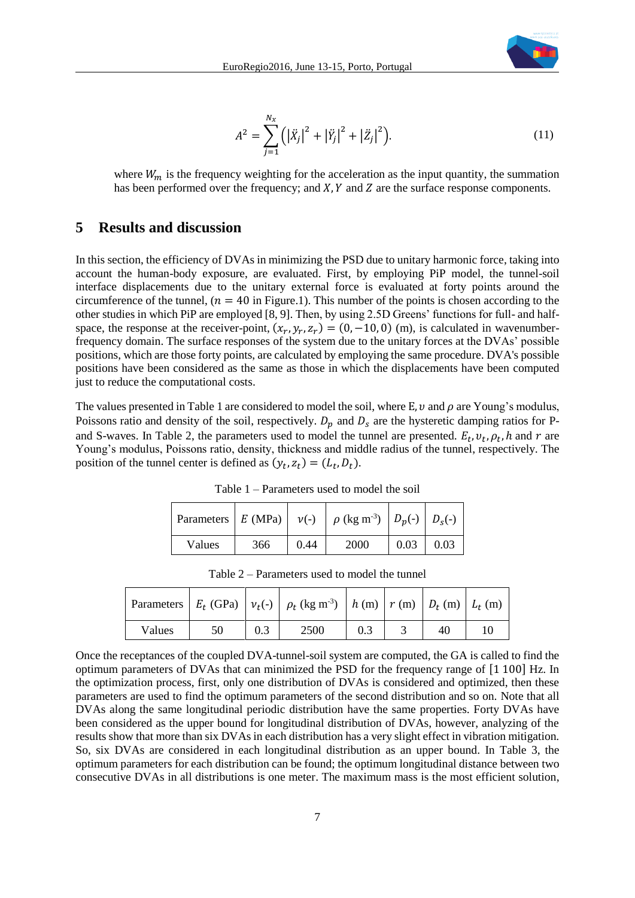

$$
A^{2} = \sum_{j=1}^{N_{\chi}} (|\ddot{X}_{j}|^{2} + |\ddot{Y}_{j}|^{2} + |\ddot{Z}_{j}|^{2}).
$$
 (11)

where  $W_m$  is the frequency weighting for the acceleration as the input quantity, the summation has been performed over the frequency; and  $X$ ,  $Y$  and  $Z$  are the surface response components.

## **5 Results and discussion**

In this section, the efficiency of DVAs in minimizing the PSD due to unitary harmonic force, taking into account the human-body exposure, are evaluated. First, by employing PiP model, the tunnel-soil interface displacements due to the unitary external force is evaluated at forty points around the circumference of the tunnel,  $(n = 40$  in Figure.1). This number of the points is chosen according to the other studies in which PiP are employed [8, 9]. Then, by using 2.5D Greens' functions for full- and halfspace, the response at the receiver-point,  $(x_r, y_r, z_r) = (0, -10, 0)$  (m), is calculated in wavenumberfrequency domain. The surface responses of the system due to the unitary forces at the DVAs' possible positions, which are those forty points, are calculated by employing the same procedure. DVA's possible positions have been considered as the same as those in which the displacements have been computed just to reduce the computational costs.

The values presented in Table 1 are considered to model the soil, where E,  $\nu$  and  $\rho$  are Young's modulus, Poissons ratio and density of the soil, respectively.  $D_p$  and  $D_s$  are the hysteretic damping ratios for Pand S-waves. In Table 2, the parameters used to model the tunnel are presented.  $E_t$ ,  $v_t$ ,  $\rho_t$ ,  $h$  and  $r$  are Young's modulus, Poissons ratio, density, thickness and middle radius of the tunnel, respectively. The position of the tunnel center is defined as  $(y_t, z_t) = (L_t, D_t)$ .

| Parameters $E(MPa)$ $v(-)$ |     |      | $\mid \rho$ (kg m <sup>-3</sup> ) $\mid D_p(-) \mid D_s(-) \mid$ |      |      |
|----------------------------|-----|------|------------------------------------------------------------------|------|------|
| Values                     | 366 | 0.44 | 2000                                                             | 0.03 | 0.03 |

Table 1 – Parameters used to model the soil

|        |    |     | Parameters $E_t$ (GPa) $v_t(-)$ $\rho_t$ (kg m <sup>-3</sup> ) $h$ (m) $r$ (m) $D_t$ (m) $L_t$ (m) |  |    |  |
|--------|----|-----|----------------------------------------------------------------------------------------------------|--|----|--|
| Values | 50 | 0.3 | 2500                                                                                               |  | 40 |  |

Table 2 – Parameters used to model the tunnel

Once the receptances of the coupled DVA-tunnel-soil system are computed, the GA is called to find the optimum parameters of DVAs that can minimized the PSD for the frequency range of [1 100] Hz. In the optimization process, first, only one distribution of DVAs is considered and optimized, then these parameters are used to find the optimum parameters of the second distribution and so on. Note that all DVAs along the same longitudinal periodic distribution have the same properties. Forty DVAs have been considered as the upper bound for longitudinal distribution of DVAs, however, analyzing of the results show that more than six DVAs in each distribution has a very slight effect in vibration mitigation. So, six DVAs are considered in each longitudinal distribution as an upper bound. In Table 3, the optimum parameters for each distribution can be found; the optimum longitudinal distance between two consecutive DVAs in all distributions is one meter. The maximum mass is the most efficient solution,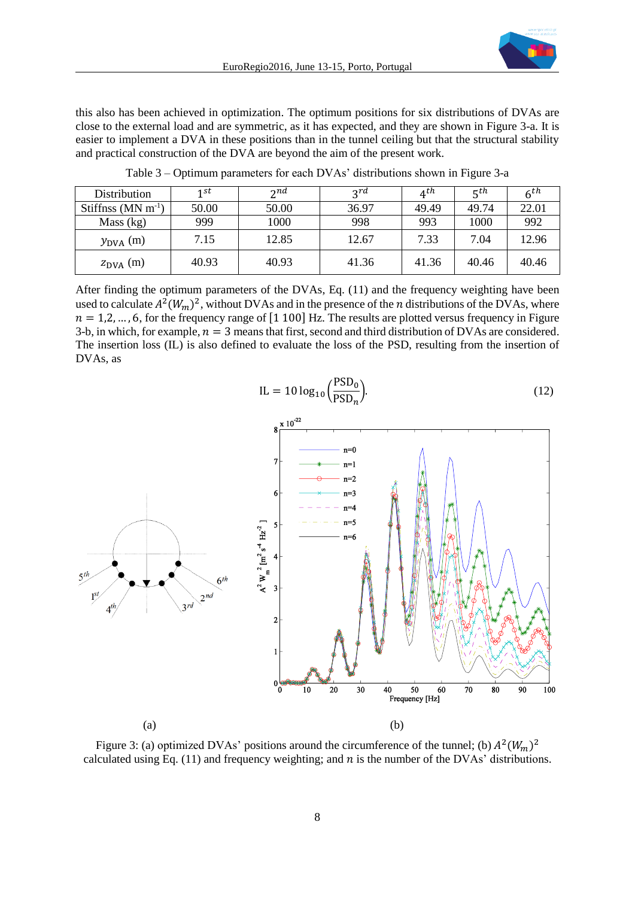this also has been achieved in optimization. The optimum positions for six distributions of DVAs are close to the external load and are symmetric, as it has expected, and they are shown in Figure 3-a. It is easier to implement a DVA in these positions than in the tunnel ceiling but that the structural stability and practical construction of the DVA are beyond the aim of the present work.

| <b>Distribution</b>       | 1 st  | $\gamma$ nd | 2rd   | $4^{th}$ | $\mathbf{r}$ th | $6^{th}$ |
|---------------------------|-------|-------------|-------|----------|-----------------|----------|
| Stiffnss $(MN \, m^{-1})$ | 50.00 | 50.00       | 36.97 | 49.49    | 49.74           | 22.01    |
| Mass (kg)                 | 999   | 1000        | 998   | 993      | 1000            | 992      |
| $y_{\text{DVA}}$ (m)      | 7.15  | 12.85       | 12.67 | 7.33     | 7.04            | 12.96    |
| $z_{\text{DVA}}$ (m)      | 40.93 | 40.93       | 41.36 | 41.36    | 40.46           | 40.46    |

Table 3 – Optimum parameters for each DVAs' distributions shown in Figure 3-a

After finding the optimum parameters of the DVAs, Eq. (11) and the frequency weighting have been used to calculate  $A^2(W_m)^2$ , without DVAs and in the presence of the *n* distributions of the DVAs, where  $n = 1, 2, ..., 6$ , for the frequency range of [1 100] Hz. The results are plotted versus frequency in Figure 3-b, in which, for example,  $n = 3$  means that first, second and third distribution of DVAs are considered. The insertion loss (IL) is also defined to evaluate the loss of the PSD, resulting from the insertion of DVAs, as





Figure 3: (a) optimized DVAs' positions around the circumference of the tunnel; (b)  $A^2(W_m)^2$ calculated using Eq. (11) and frequency weighting; and  $n$  is the number of the DVAs' distributions.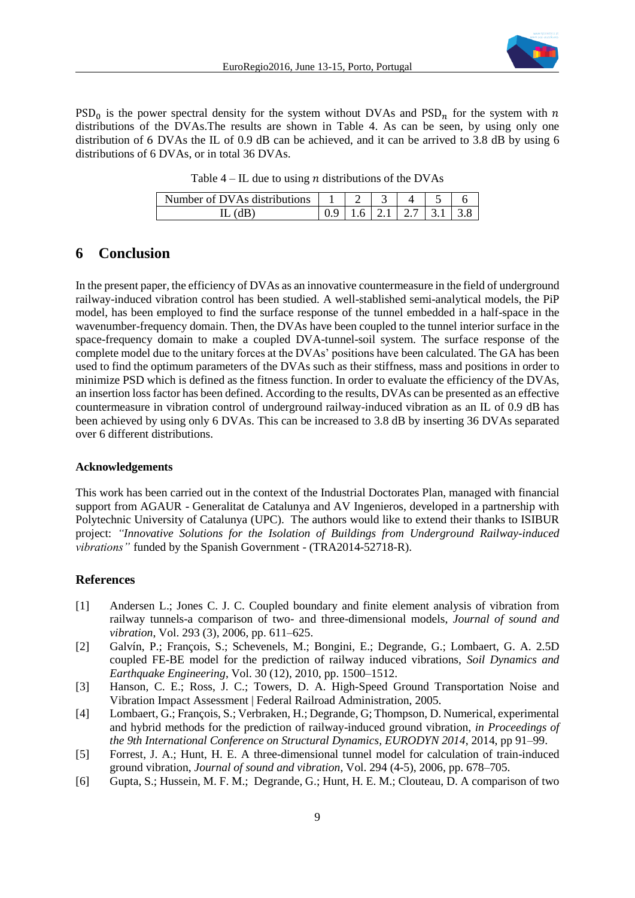

 $PSD<sub>0</sub>$  is the power spectral density for the system without DVAs and PSD<sub>n</sub> for the system with n distributions of the DVAs.The results are shown in Table 4. As can be seen, by using only one distribution of 6 DVAs the IL of 0.9 dB can be achieved, and it can be arrived to 3.8 dB by using 6 distributions of 6 DVAs, or in total 36 DVAs.

Table  $4$  – IL due to using *n* distributions of the DVAs

| Number of DVAs distributions |  |             |    |
|------------------------------|--|-------------|----|
| ыD                           |  | 61211271311 | 38 |

## **6 Conclusion**

In the present paper, the efficiency of DVAs as an innovative countermeasure in the field of underground railway-induced vibration control has been studied. A well-stablished semi-analytical models, the PiP model, has been employed to find the surface response of the tunnel embedded in a half-space in the wavenumber-frequency domain. Then, the DVAs have been coupled to the tunnel interior surface in the space-frequency domain to make a coupled DVA-tunnel-soil system. The surface response of the complete model due to the unitary forces at the DVAs' positions have been calculated. The GA has been used to find the optimum parameters of the DVAs such as their stiffness, mass and positions in order to minimize PSD which is defined as the fitness function. In order to evaluate the efficiency of the DVAs, an insertion loss factor has been defined. According to the results, DVAs can be presented as an effective countermeasure in vibration control of underground railway-induced vibration as an IL of 0.9 dB has been achieved by using only 6 DVAs. This can be increased to 3.8 dB by inserting 36 DVAs separated over 6 different distributions.

#### **Acknowledgements**

This work has been carried out in the context of the Industrial Doctorates Plan, managed with financial support from AGAUR - Generalitat de Catalunya and AV Ingenieros, developed in a partnership with Polytechnic University of Catalunya (UPC). The authors would like to extend their thanks to ISIBUR project: *"Innovative Solutions for the Isolation of Buildings from Underground Railway-induced vibrations"* funded by the Spanish Government *-* (TRA2014-52718-R).

#### **References**

- [1] Andersen L.; Jones C. J. C. Coupled boundary and finite element analysis of vibration from railway tunnels-a comparison of two- and three-dimensional models, *Journal of sound and vibration*, Vol. 293 (3), 2006, pp. 611–625.
- [2] Galvín, P.; François, S.; Schevenels, M.; Bongini, E.; Degrande, G.; Lombaert, G. A. 2.5D coupled FE-BE model for the prediction of railway induced vibrations, *Soil Dynamics and Earthquake Engineering*, Vol. 30 (12), 2010, pp. 1500–1512.
- [3] Hanson, C. E.; Ross, J. C.; Towers, D. A. High-Speed Ground Transportation Noise and Vibration Impact Assessment | Federal Railroad Administration, 2005.
- [4] Lombaert, G.; François, S.; Verbraken, H.; Degrande, G; Thompson, D. Numerical, experimental and hybrid methods for the prediction of railway-induced ground vibration, *in Proceedings of the 9th International Conference on Structural Dynamics, EURODYN 2014*, 2014, pp 91–99.
- [5] Forrest, J. A.; Hunt, H. E. A three-dimensional tunnel model for calculation of train-induced ground vibration, *Journal of sound and vibration*, Vol. 294 (4-5), 2006, pp. 678–705.
- [6] Gupta, S.; Hussein, M. F. M.; Degrande, G.; Hunt, H. E. M.; Clouteau, D. A comparison of two